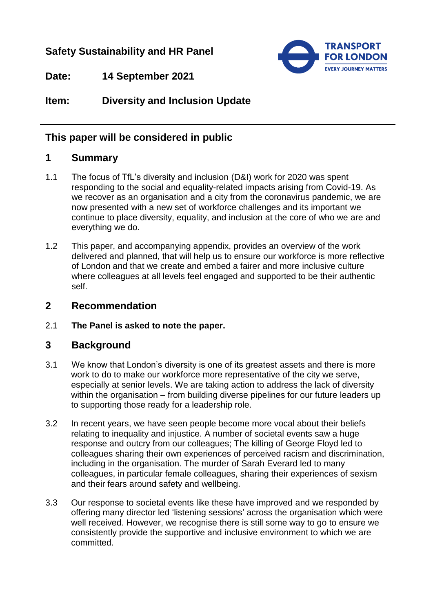## **Safety Sustainability and HR Panel**



**Date: 14 September 2021**

# **Item: Diversity and Inclusion Update**

#### **This paper will be considered in public**

### **1 Summary**

- 1.1 The focus of TfL's diversity and inclusion (D&I) work for 2020 was spent responding to the social and equality-related impacts arising from Covid-19. As we recover as an organisation and a city from the coronavirus pandemic, we are now presented with a new set of workforce challenges and its important we continue to place diversity, equality, and inclusion at the core of who we are and everything we do.
- 1.2 This paper, and accompanying appendix, provides an overview of the work delivered and planned, that will help us to ensure our workforce is more reflective of London and that we create and embed a fairer and more inclusive culture where colleagues at all levels feel engaged and supported to be their authentic self.

#### **2 Recommendation**

2.1 **The Panel is asked to note the paper.**

#### **3 Background**

- 3.1 We know that London's diversity is one of its greatest assets and there is more work to do to make our workforce more representative of the city we serve, especially at senior levels. We are taking action to address the lack of diversity within the organisation – from building diverse pipelines for our future leaders up to supporting those ready for a leadership role.
- 3.2 In recent years, we have seen people become more vocal about their beliefs relating to inequality and injustice. A number of societal events saw a huge response and outcry from our colleagues; The killing of George Floyd led to colleagues sharing their own experiences of perceived racism and discrimination, including in the organisation. The murder of Sarah Everard led to many colleagues, in particular female colleagues, sharing their experiences of sexism and their fears around safety and wellbeing.
- 3.3 Our response to societal events like these have improved and we responded by offering many director led 'listening sessions' across the organisation which were well received. However, we recognise there is still some way to go to ensure we consistently provide the supportive and inclusive environment to which we are committed.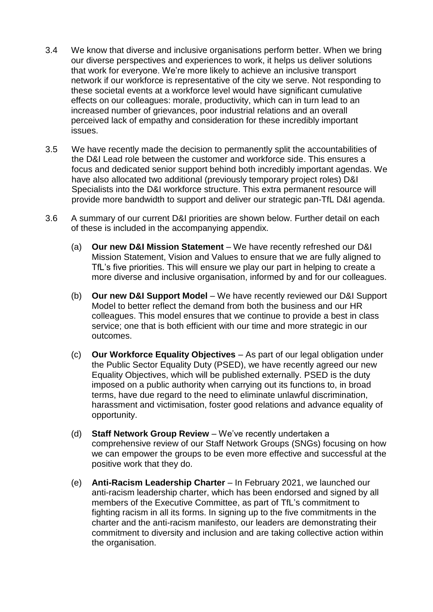- 3.4 We know that diverse and inclusive organisations perform better. When we bring our diverse perspectives and experiences to work, it helps us deliver solutions that work for everyone. We're more likely to achieve an inclusive transport network if our workforce is representative of the city we serve. Not responding to these societal events at a workforce level would have significant cumulative effects on our colleagues: morale, productivity, which can in turn lead to an increased number of grievances, poor industrial relations and an overall perceived lack of empathy and consideration for these incredibly important issues.
- 3.5 We have recently made the decision to permanently split the accountabilities of the D&I Lead role between the customer and workforce side. This ensures a focus and dedicated senior support behind both incredibly important agendas. We have also allocated two additional (previously temporary project roles) D&I Specialists into the D&I workforce structure. This extra permanent resource will provide more bandwidth to support and deliver our strategic pan-TfL D&I agenda.
- 3.6 A summary of our current D&I priorities are shown below. Further detail on each of these is included in the accompanying appendix.
	- (a) **Our new D&I Mission Statement** We have recently refreshed our D&I Mission Statement, Vision and Values to ensure that we are fully aligned to TfL's five priorities. This will ensure we play our part in helping to create a more diverse and inclusive organisation, informed by and for our colleagues.
	- (b) **Our new D&I Support Model** We have recently reviewed our D&I Support Model to better reflect the demand from both the business and our HR colleagues. This model ensures that we continue to provide a best in class service; one that is both efficient with our time and more strategic in our outcomes.
	- (c) **Our Workforce Equality Objectives** As part of our legal obligation under the Public Sector Equality Duty (PSED), we have recently agreed our new Equality Objectives, which will be published externally. PSED is the duty imposed on a public authority when carrying out its functions to, in broad terms, have due regard to the need to eliminate unlawful discrimination, harassment and victimisation, foster good relations and advance equality of opportunity.
	- (d) **Staff Network Group Review** We've recently undertaken a comprehensive review of our Staff Network Groups (SNGs) focusing on how we can empower the groups to be even more effective and successful at the positive work that they do.
	- (e) **Anti-Racism Leadership Charter** In February 2021, we launched our anti-racism leadership charter, which has been endorsed and signed by all members of the Executive Committee, as part of TfL's commitment to fighting racism in all its forms. In signing up to the five commitments in the charter and the anti-racism manifesto, our leaders are demonstrating their commitment to diversity and inclusion and are taking collective action within the organisation.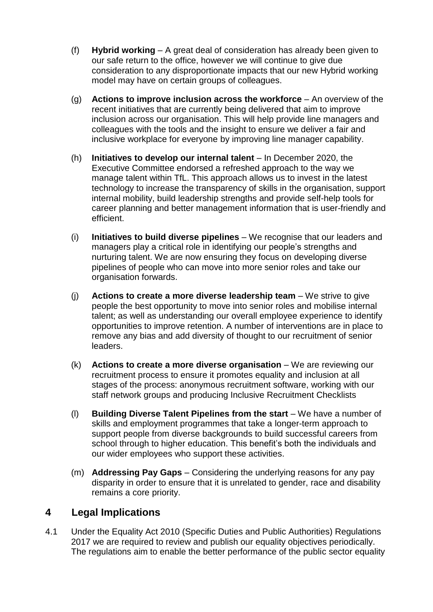- (f) **Hybrid working** A great deal of consideration has already been given to our safe return to the office, however we will continue to give due consideration to any disproportionate impacts that our new Hybrid working model may have on certain groups of colleagues.
- (g) **Actions to improve inclusion across the workforce** An overview of the recent initiatives that are currently being delivered that aim to improve inclusion across our organisation. This will help provide line managers and colleagues with the tools and the insight to ensure we deliver a fair and inclusive workplace for everyone by improving line manager capability.
- (h) **Initiatives to develop our internal talent** In December 2020, the Executive Committee endorsed a refreshed approach to the way we manage talent within TfL. This approach allows us to invest in the latest technology to increase the transparency of skills in the organisation, support internal mobility, build leadership strengths and provide self-help tools for career planning and better management information that is user-friendly and efficient.
- (i) **Initiatives to build diverse pipelines**  We recognise that our leaders and managers play a critical role in identifying our people's strengths and nurturing talent. We are now ensuring they focus on developing diverse pipelines of people who can move into more senior roles and take our organisation forwards.
- (j) **Actions to create a more diverse leadership team** We strive to give people the best opportunity to move into senior roles and mobilise internal talent; as well as understanding our overall employee experience to identify opportunities to improve retention. A number of interventions are in place to remove any bias and add diversity of thought to our recruitment of senior leaders.
- (k) **Actions to create a more diverse organisation**  We are reviewing our recruitment process to ensure it promotes equality and inclusion at all stages of the process: anonymous recruitment software, working with our staff network groups and producing Inclusive Recruitment Checklists
- (l) **Building Diverse Talent Pipelines from the start** We have a number of skills and employment programmes that take a longer-term approach to support people from diverse backgrounds to build successful careers from school through to higher education. This benefit's both the individuals and our wider employees who support these activities.
- (m) **Addressing Pay Gaps**  Considering the underlying reasons for any pay disparity in order to ensure that it is unrelated to gender, race and disability remains a core priority.

## **4 Legal Implications**

4.1 Under the Equality Act 2010 (Specific Duties and Public Authorities) Regulations 2017 we are required to review and publish our equality objectives periodically. The regulations aim to enable the better performance of the public sector equality